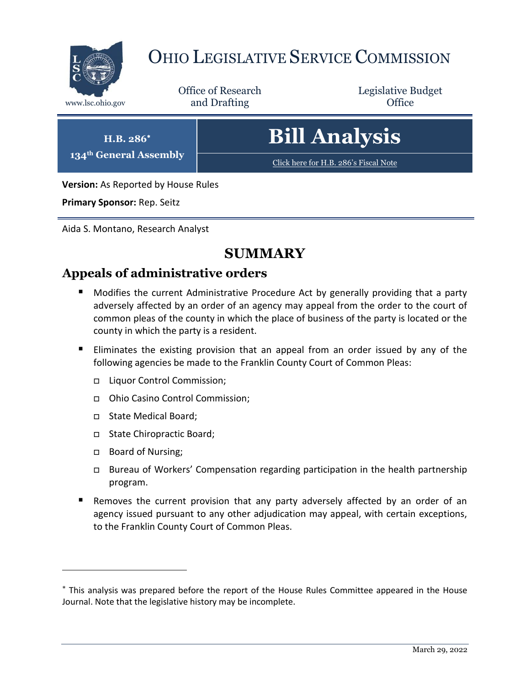

# OHIO LEGISLATIVE SERVICE COMMISSION

Office of Research www.lsc.ohio.gov **and Drafting Office** 

Legislative Budget

**H.B. 286 134th General Assembly** **Bill Analysis**

[Click here for H.B. 286](https://www.legislature.ohio.gov/legislation/legislation-documents?id=GA134-HB-286)'s Fiscal Note

**Version:** As Reported by House Rules

**Primary Sponsor:** Rep. Seitz

Aida S. Montano, Research Analyst

# **SUMMARY**

# **Appeals of administrative orders**

- **Modifies the current Administrative Procedure Act by generally providing that a party** adversely affected by an order of an agency may appeal from the order to the court of common pleas of the county in which the place of business of the party is located or the county in which the party is a resident.
- Eliminates the existing provision that an appeal from an order issued by any of the following agencies be made to the Franklin County Court of Common Pleas:
	- □ Liquor Control Commission;
	- Ohio Casino Control Commission;
	- □ State Medical Board;
	- State Chiropractic Board;
	- □ Board of Nursing;

- Bureau of Workers' Compensation regarding participation in the health partnership program.
- Removes the current provision that any party adversely affected by an order of an agency issued pursuant to any other adjudication may appeal, with certain exceptions, to the Franklin County Court of Common Pleas.

This analysis was prepared before the report of the House Rules Committee appeared in the House Journal. Note that the legislative history may be incomplete.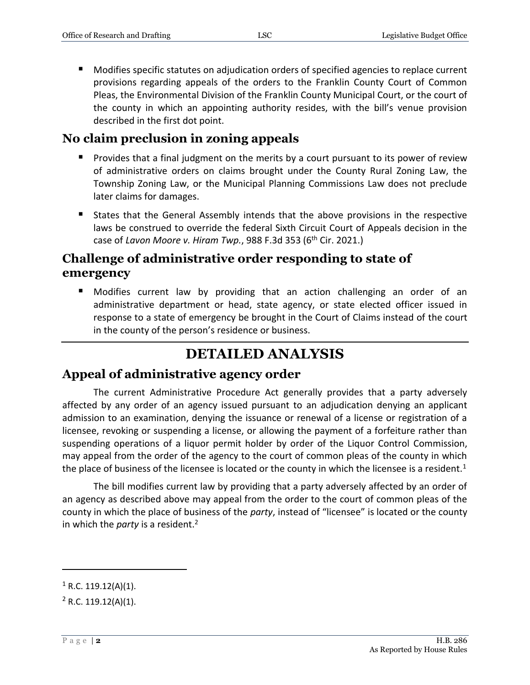Modifies specific statutes on adjudication orders of specified agencies to replace current provisions regarding appeals of the orders to the Franklin County Court of Common Pleas, the Environmental Division of the Franklin County Municipal Court, or the court of the county in which an appointing authority resides, with the bill's venue provision described in the first dot point.

#### **No claim preclusion in zoning appeals**

- **Provides that a final judgment on the merits by a court pursuant to its power of review** of administrative orders on claims brought under the County Rural Zoning Law, the Township Zoning Law, or the Municipal Planning Commissions Law does not preclude later claims for damages.
- States that the General Assembly intends that the above provisions in the respective laws be construed to override the federal Sixth Circuit Court of Appeals decision in the case of *Lavon Moore v. Hiram Twp.*, 988 F.3d 353 (6th Cir. 2021.)

## **Challenge of administrative order responding to state of emergency**

 Modifies current law by providing that an action challenging an order of an administrative department or head, state agency, or state elected officer issued in response to a state of emergency be brought in the Court of Claims instead of the court in the county of the person's residence or business.

# **DETAILED ANALYSIS**

#### **Appeal of administrative agency order**

The current Administrative Procedure Act generally provides that a party adversely affected by any order of an agency issued pursuant to an adjudication denying an applicant admission to an examination, denying the issuance or renewal of a license or registration of a licensee, revoking or suspending a license, or allowing the payment of a forfeiture rather than suspending operations of a liquor permit holder by order of the Liquor Control Commission, may appeal from the order of the agency to the court of common pleas of the county in which the place of business of the licensee is located or the county in which the licensee is a resident.<sup>1</sup>

The bill modifies current law by providing that a party adversely affected by an order of an agency as described above may appeal from the order to the court of common pleas of the county in which the place of business of the *party*, instead of "licensee" is located or the county in which the *party* is a resident.<sup>2</sup>

 $1$  R.C. 119.12(A)(1).

 $2$  R.C. 119.12(A)(1).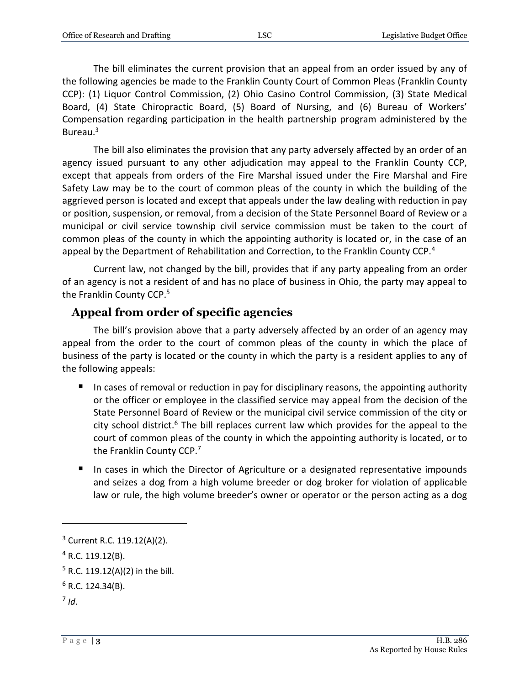The bill eliminates the current provision that an appeal from an order issued by any of the following agencies be made to the Franklin County Court of Common Pleas (Franklin County CCP): (1) Liquor Control Commission, (2) Ohio Casino Control Commission, (3) State Medical Board, (4) State Chiropractic Board, (5) Board of Nursing, and (6) Bureau of Workers' Compensation regarding participation in the health partnership program administered by the Bureau.<sup>3</sup>

The bill also eliminates the provision that any party adversely affected by an order of an agency issued pursuant to any other adjudication may appeal to the Franklin County CCP, except that appeals from orders of the Fire Marshal issued under the Fire Marshal and Fire Safety Law may be to the court of common pleas of the county in which the building of the aggrieved person is located and except that appeals under the law dealing with reduction in pay or position, suspension, or removal, from a decision of the State Personnel Board of Review or a municipal or civil service township civil service commission must be taken to the court of common pleas of the county in which the appointing authority is located or, in the case of an appeal by the Department of Rehabilitation and Correction, to the Franklin County CCP.<sup>4</sup>

Current law, not changed by the bill, provides that if any party appealing from an order of an agency is not a resident of and has no place of business in Ohio, the party may appeal to the Franklin County CCP.<sup>5</sup>

#### **Appeal from order of specific agencies**

The bill's provision above that a party adversely affected by an order of an agency may appeal from the order to the court of common pleas of the county in which the place of business of the party is located or the county in which the party is a resident applies to any of the following appeals:

- In cases of removal or reduction in pay for disciplinary reasons, the appointing authority or the officer or employee in the classified service may appeal from the decision of the State Personnel Board of Review or the municipal civil service commission of the city or city school district.<sup>6</sup> The bill replaces current law which provides for the appeal to the court of common pleas of the county in which the appointing authority is located, or to the Franklin County CCP.<sup>7</sup>
- In cases in which the Director of Agriculture or a designated representative impounds and seizes a dog from a high volume breeder or dog broker for violation of applicable law or rule, the high volume breeder's owner or operator or the person acting as a dog

<sup>3</sup> Current R.C. 119.12(A)(2).

 $4$  R.C. 119.12(B).

 $5$  R.C. 119.12(A)(2) in the bill.

 $6$  R.C. 124.34(B).

<sup>7</sup> *Id*.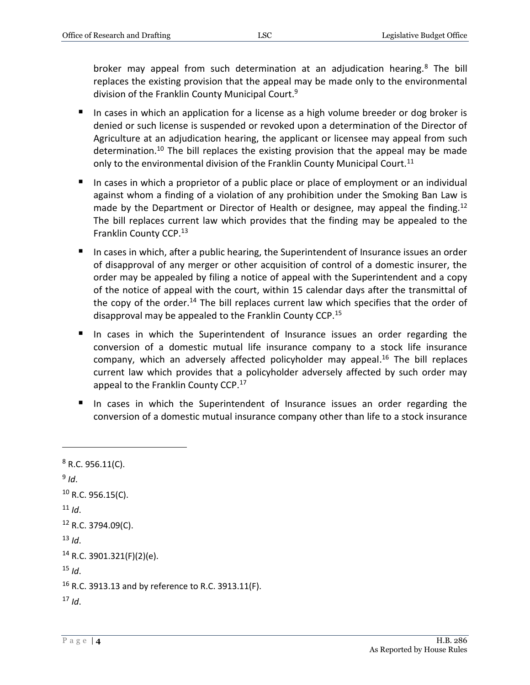broker may appeal from such determination at an adjudication hearing.<sup>8</sup> The bill replaces the existing provision that the appeal may be made only to the environmental division of the Franklin County Municipal Court.<sup>9</sup>

- In cases in which an application for a license as a high volume breeder or dog broker is denied or such license is suspended or revoked upon a determination of the Director of Agriculture at an adjudication hearing, the applicant or licensee may appeal from such determination.<sup>10</sup> The bill replaces the existing provision that the appeal may be made only to the environmental division of the Franklin County Municipal Court.<sup>11</sup>
- In cases in which a proprietor of a public place or place of employment or an individual against whom a finding of a violation of any prohibition under the Smoking Ban Law is made by the Department or Director of Health or designee, may appeal the finding.<sup>12</sup> The bill replaces current law which provides that the finding may be appealed to the Franklin County CCP.<sup>13</sup>
- In cases in which, after a public hearing, the Superintendent of Insurance issues an order of disapproval of any merger or other acquisition of control of a domestic insurer, the order may be appealed by filing a notice of appeal with the Superintendent and a copy of the notice of appeal with the court, within 15 calendar days after the transmittal of the copy of the order.<sup>14</sup> The bill replaces current law which specifies that the order of disapproval may be appealed to the Franklin County CCP.<sup>15</sup>
- In cases in which the Superintendent of Insurance issues an order regarding the conversion of a domestic mutual life insurance company to a stock life insurance company, which an adversely affected policyholder may appeal. <sup>16</sup> The bill replaces current law which provides that a policyholder adversely affected by such order may appeal to the Franklin County CCP.<sup>17</sup>
- In cases in which the Superintendent of Insurance issues an order regarding the conversion of a domestic mutual insurance company other than life to a stock insurance

```
8 R.C. 956.11(C).
9
Id.
10 R.C. 956.15(C).
11 Id.
12 R.C. 3794.09(C).
13 Id.
14 R.C. 3901.321(F)(2)(e).
15 Id.
16 R.C. 3913.13 and by reference to R.C. 3913.11(F).
17 Id.
```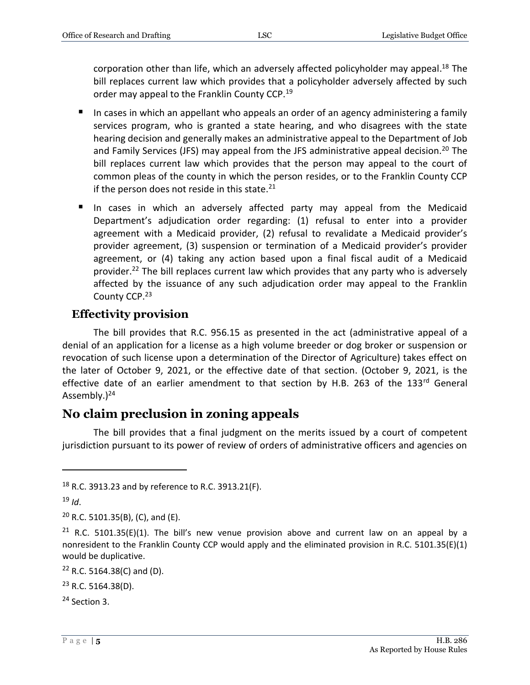corporation other than life, which an adversely affected policyholder may appeal.<sup>18</sup> The bill replaces current law which provides that a policyholder adversely affected by such order may appeal to the Franklin County CCP.<sup>19</sup>

- In cases in which an appellant who appeals an order of an agency administering a family services program, who is granted a state hearing, and who disagrees with the state hearing decision and generally makes an administrative appeal to the Department of Job and Family Services (JFS) may appeal from the JFS administrative appeal decision.<sup>20</sup> The bill replaces current law which provides that the person may appeal to the court of common pleas of the county in which the person resides, or to the Franklin County CCP if the person does not reside in this state. $21$
- In cases in which an adversely affected party may appeal from the Medicaid Department's adjudication order regarding: (1) refusal to enter into a provider agreement with a Medicaid provider, (2) refusal to revalidate a Medicaid provider's provider agreement, (3) suspension or termination of a Medicaid provider's provider agreement, or (4) taking any action based upon a final fiscal audit of a Medicaid provider.<sup>22</sup> The bill replaces current law which provides that any party who is adversely affected by the issuance of any such adjudication order may appeal to the Franklin County CCP.<sup>23</sup>

### **Effectivity provision**

The bill provides that R.C. 956.15 as presented in the act (administrative appeal of a denial of an application for a license as a high volume breeder or dog broker or suspension or revocation of such license upon a determination of the Director of Agriculture) takes effect on the later of October 9, 2021, or the effective date of that section. (October 9, 2021, is the effective date of an earlier amendment to that section by H.B. 263 of the 133<sup>rd</sup> General Assembly. $)^{24}$ 

## **No claim preclusion in zoning appeals**

The bill provides that a final judgment on the merits issued by a court of competent jurisdiction pursuant to its power of review of orders of administrative officers and agencies on

<sup>18</sup> R.C. 3913.23 and by reference to R.C. 3913.21(F).

 $19$  *Id*.

 $20$  R.C. 5101.35(B), (C), and (E).

<sup>&</sup>lt;sup>21</sup> R.C. 5101.35(E)(1). The bill's new venue provision above and current law on an appeal by a nonresident to the Franklin County CCP would apply and the eliminated provision in R.C. 5101.35(E)(1) would be duplicative.

 $22$  R.C. 5164.38(C) and (D).

 $23$  R.C. 5164.38(D).

<sup>24</sup> Section 3.